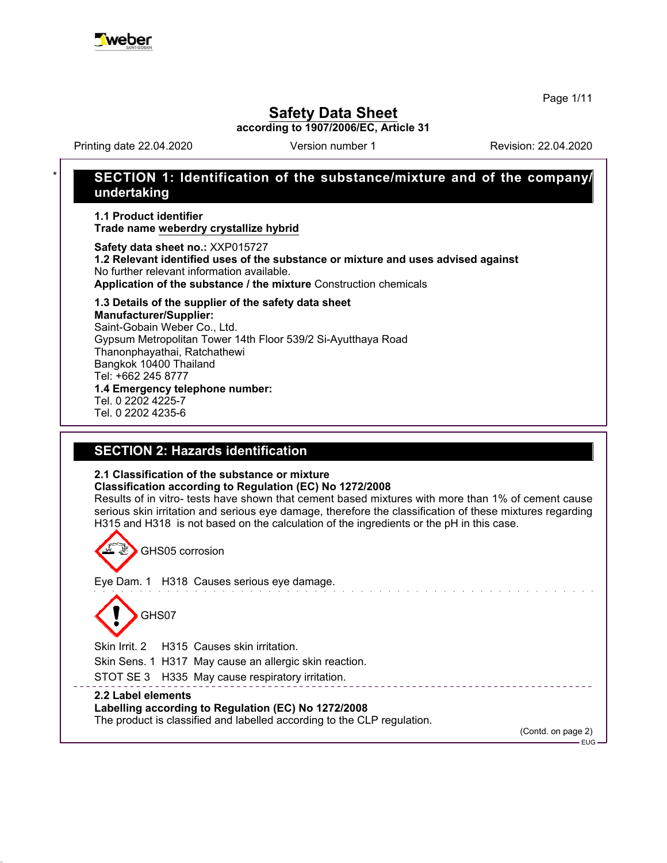

Page 1/11

## **Safety Data Sheet**

**according to 1907/2006/EC, Article 31**

Printing date 22.04.2020 **Revision: 22.04.2020** Version number 1

## \* **SECTION 1: Identification of the substance/mixture and of the company/ undertaking**

**1.1 Product identifier Trade name weberdry crystallize hybrid**

**Safety data sheet no.:** XXP015727 **1.2 Relevant identified uses of the substance or mixture and uses advised against** No further relevant information available. **Application of the substance / the mixture** Construction chemicals

#### **1.3 Details of the supplier of the safety data sheet Manufacturer/Supplier:**

Saint-Gobain Weber Co., Ltd. Gypsum Metropolitan Tower 14th Floor 539/2 Si-Ayutthaya Road Thanonphayathai, Ratchathewi Bangkok 10400 Thailand Tel: +662 245 8777 **1.4 Emergency telephone number:** Tel. 0 2202 4225-7

Tel. 0 2202 4235-6

## **SECTION 2: Hazards identification**

## **2.1 Classification of the substance or mixture**

**Classification according to Regulation (EC) No 1272/2008**

Results of in vitro- tests have shown that cement based mixtures with more than 1% of cement cause serious skin irritation and serious eye damage, therefore the classification of these mixtures regarding H315 and H318 is not based on the calculation of the ingredients or the pH in this case.

<u> 222222222222</u>

GHS05 corrosion Eye Dam. 1 H318 Causes serious eye damage. . . . . . . . . . GHS07 Skin Irrit. 2 H315 Causes skin irritation. Skin Sens. 1 H317 May cause an allergic skin reaction.

STOT SE 3 H335 May cause respiratory irritation.

## **2.2 Label elements**

**Labelling according to Regulation (EC) No 1272/2008**

The product is classified and labelled according to the CLP regulation.

(Contd. on page 2)

 $EUC$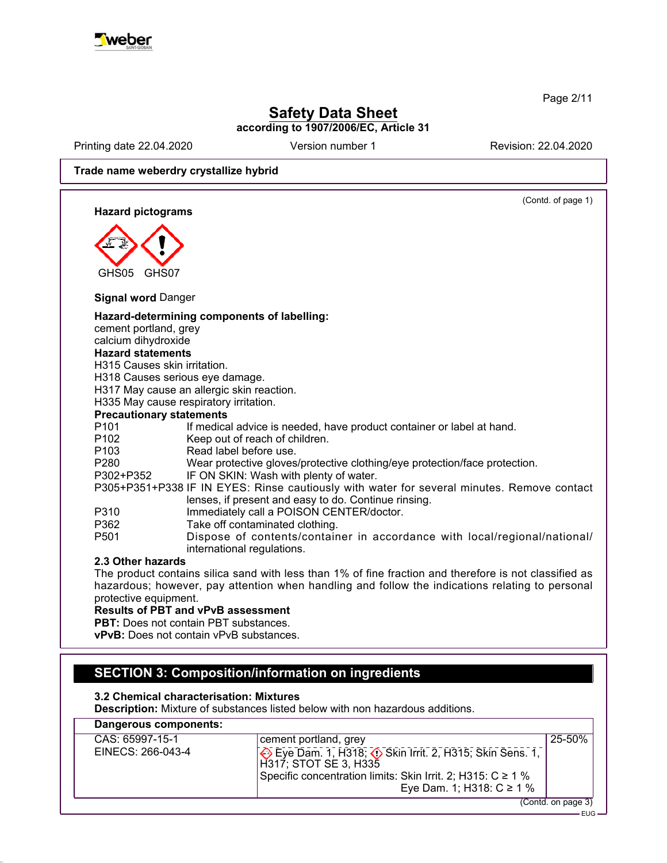

Page 2/11

## **Safety Data Sheet according to 1907/2006/EC, Article 31**

Printing date 22.04.2020 **Revision: 22.04.2020** Version number 1 Revision: 22.04.2020

**Trade name weberdry crystallize hybrid**

(Contd. of page 1) **Hazard pictograms** GHS05 GHS07 **Signal word** Danger **Hazard-determining components of labelling:** cement portland, grey calcium dihydroxide **Hazard statements** H315 Causes skin irritation. H318 Causes serious eye damage. H317 May cause an allergic skin reaction. H335 May cause respiratory irritation. **Precautionary statements** P101 If medical advice is needed, have product container or label at hand.<br>P102 Keep out of reach of children. Keep out of reach of children. P103 Read label before use. P280 Wear protective gloves/protective clothing/eye protection/face protection. P302+P352 IF ON SKIN: Wash with plenty of water. P305+P351+P338 IF IN EYES: Rinse cautiously with water for several minutes. Remove contact lenses, if present and easy to do. Continue rinsing. P310 Immediately call a POISON CENTER/doctor. P362 Take off contaminated clothing. P501 Dispose of contents/container in accordance with local/regional/national/ international regulations. **2.3 Other hazards** The product contains silica sand with less than 1% of fine fraction and therefore is not classified as hazardous; however, pay attention when handling and follow the indications relating to personal protective equipment. **Results of PBT and vPvB assessment**

**PBT:** Does not contain PBT substances.

**vPvB:** Does not contain vPvB substances.

## **SECTION 3: Composition/information on ingredients**

**3.2 Chemical characterisation: Mixtures**

**Description:** Mixture of substances listed below with non hazardous additions.

| Dangerous components: |                                                                                  |                    |
|-----------------------|----------------------------------------------------------------------------------|--------------------|
| CAS: 65997-15-1       | cement portland, grey                                                            | 25-50%             |
| EINECS: 266-043-4     | Eye Dam. 1, H318; O Skin Irrit. 2, H315; Skin Sens. 1,<br> H317: STOT SE 3. H335 |                    |
|                       | Specific concentration limits: Skin Irrit. 2; H315: $C \ge 1$ %                  |                    |
|                       | Eye Dam. 1; H318: $C \ge 1$ %                                                    |                    |
|                       |                                                                                  | (Contd. on page 3) |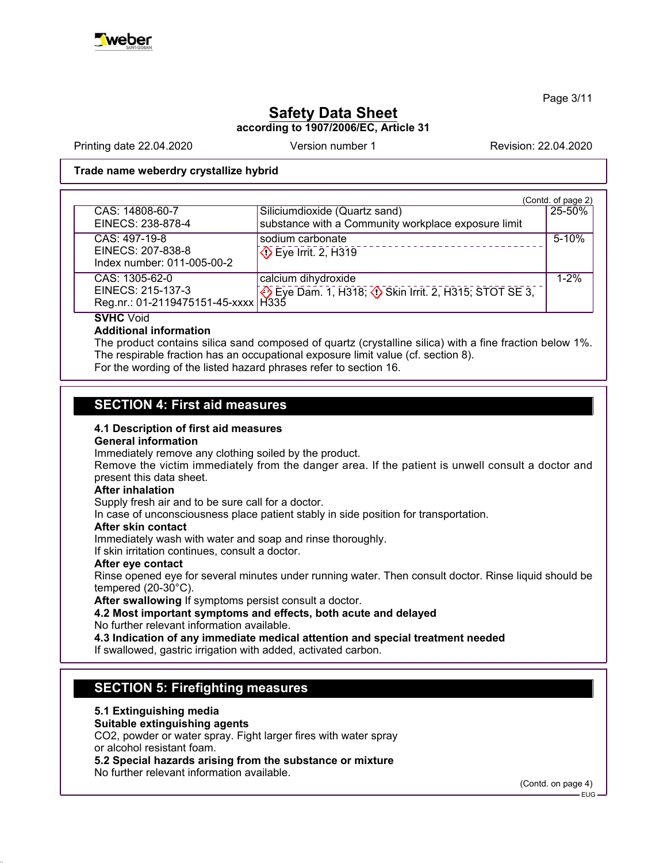

Page 3/11

# **Safety Data Sheet**

**according to 1907/2006/EC, Article 31**

Printing date 22.04.2020 **Revision: 22.04.2020** Version number 1 Revision: 22.04.2020

## **Trade name weberdry crystallize hybrid**

|                                       |                                                                | (Contd. of page 2) |
|---------------------------------------|----------------------------------------------------------------|--------------------|
| CAS: 14808-60-7                       | Siliciumdioxide (Quartz sand)                                  | 25-50%             |
| EINECS: 238-878-4                     | substance with a Community workplace exposure limit            |                    |
| $CAS: 497-19-8$                       | sodium carbonate                                               | $5-10%$            |
| EINECS: 207-838-8                     | $\Diamond$ Eye Irrit. 2, H319                                  |                    |
| Index number: 011-005-00-2            |                                                                |                    |
| CAS: 1305-62-0                        | calcium dihydroxide                                            | $1 - 2%$           |
| EINECS: 215-137-3                     | Eye Dam. 1, H318; $\circled{}$ Skin Irrit. 2, H315; STOT SE 3, |                    |
| Reg.nr.: 01-2119475151-45-xxxx   H335 |                                                                |                    |

**SVHC** Void

### **Additional information**

The product contains silica sand composed of quartz (crystalline silica) with a fine fraction below 1%. The respirable fraction has an occupational exposure limit value (cf. section 8).

For the wording of the listed hazard phrases refer to section 16.

## **SECTION 4: First aid measures**

### **4.1 Description of first aid measures**

### **General information**

Immediately remove any clothing soiled by the product.

Remove the victim immediately from the danger area. If the patient is unwell consult a doctor and present this data sheet.

### **After inhalation**

Supply fresh air and to be sure call for a doctor.

In case of unconsciousness place patient stably in side position for transportation.

### **After skin contact**

Immediately wash with water and soap and rinse thoroughly.

If skin irritation continues, consult a doctor.

### **After eye contact**

Rinse opened eye for several minutes under running water. Then consult doctor. Rinse liquid should be tempered (20-30°C).

**After swallowing** If symptoms persist consult a doctor.

**4.2 Most important symptoms and effects, both acute and delayed**

No further relevant information available.

**4.3 Indication of any immediate medical attention and special treatment needed**

If swallowed, gastric irrigation with added, activated carbon.

## **SECTION 5: Firefighting measures**

### **5.1 Extinguishing media**

### **Suitable extinguishing agents**

CO2, powder or water spray. Fight larger fires with water spray or alcohol resistant foam.

**5.2 Special hazards arising from the substance or mixture**

No further relevant information available.

(Contd. on page 4)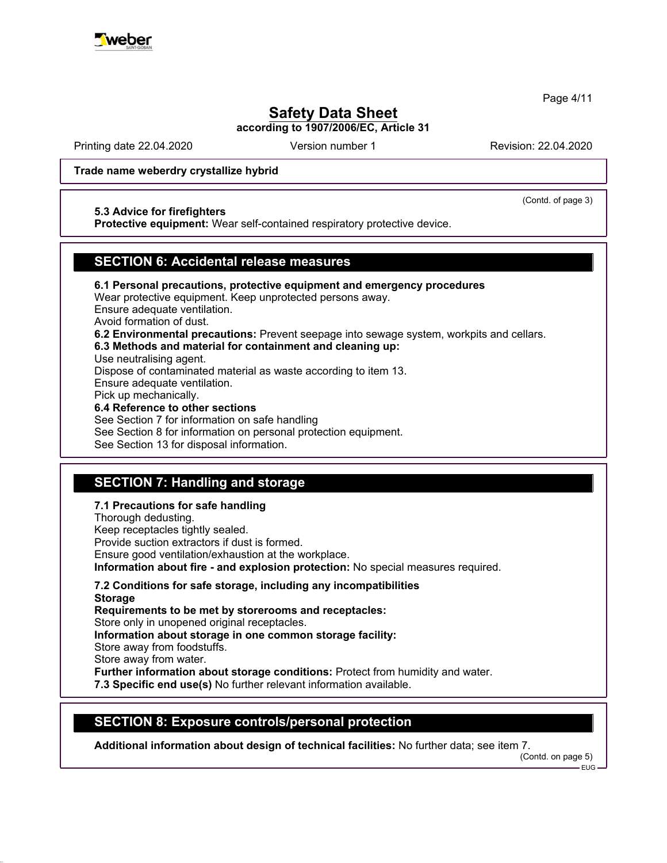

Page 4/11

## **Safety Data Sheet**

**according to 1907/2006/EC, Article 31**

Printing date 22.04.2020 **Revision: 22.04.2020** Version number 1 Revision: 22.04.2020

(Contd. of page 3)

## **Trade name weberdry crystallize hybrid**

### **5.3 Advice for firefighters**

**Protective equipment:** Wear self-contained respiratory protective device.

## **SECTION 6: Accidental release measures**

**6.1 Personal precautions, protective equipment and emergency procedures** Wear protective equipment. Keep unprotected persons away. Ensure adequate ventilation. Avoid formation of dust. **6.2 Environmental precautions:** Prevent seepage into sewage system, workpits and cellars. **6.3 Methods and material for containment and cleaning up:** Use neutralising agent. Dispose of contaminated material as waste according to item 13. Ensure adequate ventilation. Pick up mechanically. **6.4 Reference to other sections** See Section 7 for information on safe handling

See Section 8 for information on personal protection equipment.

See Section 13 for disposal information.

## **SECTION 7: Handling and storage**

## **7.1 Precautions for safe handling**

Thorough dedusting. Keep receptacles tightly sealed. Provide suction extractors if dust is formed. Ensure good ventilation/exhaustion at the workplace. **Information about fire - and explosion protection:** No special measures required.

**7.2 Conditions for safe storage, including any incompatibilities Storage Requirements to be met by storerooms and receptacles:** Store only in unopened original receptacles. **Information about storage in one common storage facility:** Store away from foodstuffs. Store away from water. **Further information about storage conditions:** Protect from humidity and water. **7.3 Specific end use(s)** No further relevant information available.

## **SECTION 8: Exposure controls/personal protection**

**Additional information about design of technical facilities:** No further data; see item 7.

(Contd. on page 5) EUG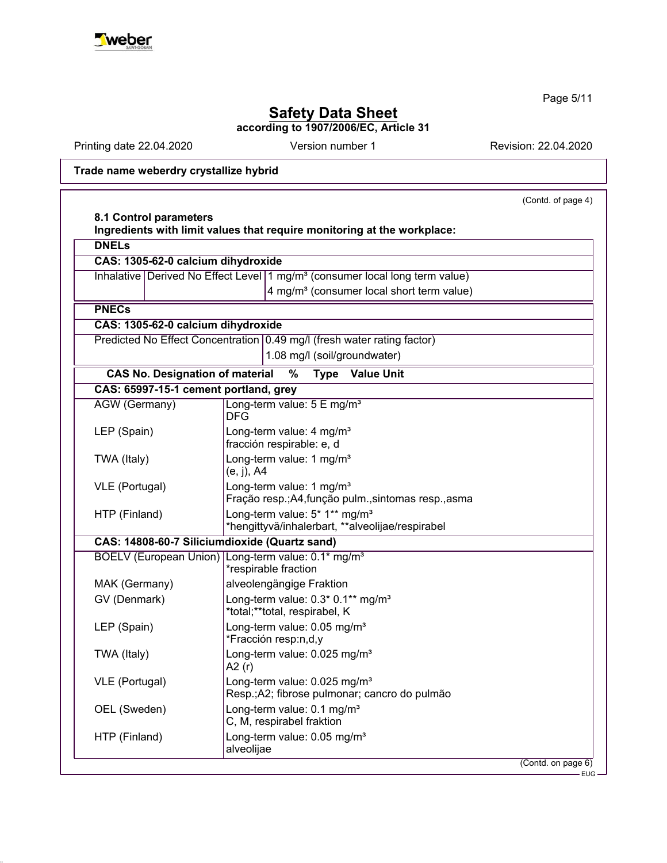

Page 5/11

# **Safety Data Sheet**

**according to 1907/2006/EC, Article 31**

Printing date 22.04.2020 **Revision: 22.04.2020** Version number 1

**Trade name weberdry crystallize hybrid**

|                                        | (Contd. of page 4)                                                                            |
|----------------------------------------|-----------------------------------------------------------------------------------------------|
| 8.1 Control parameters                 | Ingredients with limit values that require monitoring at the workplace:                       |
| <b>DNELs</b>                           |                                                                                               |
| CAS: 1305-62-0 calcium dihydroxide     |                                                                                               |
|                                        | Inhalative   Derived No Effect Level   1 mg/m <sup>3</sup> (consumer local long term value)   |
|                                        | 4 mg/m <sup>3</sup> (consumer local short term value)                                         |
| <b>PNECs</b>                           |                                                                                               |
| CAS: 1305-62-0 calcium dihydroxide     |                                                                                               |
|                                        | Predicted No Effect Concentration   0.49 mg/l (fresh water rating factor)                     |
|                                        | 1.08 mg/l (soil/groundwater)                                                                  |
| <b>CAS No. Designation of material</b> | $\overline{\frac{9}{6}}$<br><b>Type</b><br><b>Value Unit</b>                                  |
| CAS: 65997-15-1 cement portland, grey  |                                                                                               |
| <b>AGW</b> (Germany)                   | Long-term value: 5 E mg/m <sup>3</sup><br><b>DFG</b>                                          |
| LEP (Spain)                            | Long-term value: 4 mg/m <sup>3</sup><br>fracción respirable: e, d                             |
| TWA (Italy)                            | Long-term value: 1 mg/m <sup>3</sup><br>$(e, j)$ , A4                                         |
| VLE (Portugal)                         | Long-term value: 1 mg/m <sup>3</sup><br>Fração resp.; A4, função pulm., sintomas resp., asma  |
| HTP (Finland)                          | Long-term value: 5* 1** mg/m <sup>3</sup><br>*hengittyvä/inhalerbart, **alveolijae/respirabel |
|                                        | CAS: 14808-60-7 Siliciumdioxide (Quartz sand)                                                 |
|                                        | BOELV (European Union) Long-term value: 0.1* mg/m <sup>3</sup><br>*respirable fraction        |
| MAK (Germany)                          | alveolengängige Fraktion                                                                      |
| GV (Denmark)                           | Long-term value: 0.3* 0.1** mg/m <sup>3</sup><br>*total;**total, respirabel, K                |
| LEP (Spain)                            | Long-term value: 0.05 mg/m <sup>3</sup><br>*Fracción resp:n,d,y                               |
| TWA (Italy)                            | Long-term value: 0.025 mg/m <sup>3</sup><br>A2 (r)                                            |
| VLE (Portugal)                         | Long-term value: 0.025 mg/m <sup>3</sup><br>Resp.; A2; fibrose pulmonar; cancro do pulmão     |
| OEL (Sweden)                           | Long-term value: 0.1 mg/m <sup>3</sup><br>C, M, respirabel fraktion                           |
| HTP (Finland)                          | Long-term value: 0.05 mg/m <sup>3</sup><br>alveolijae                                         |
|                                        | (Contd. on page 6)                                                                            |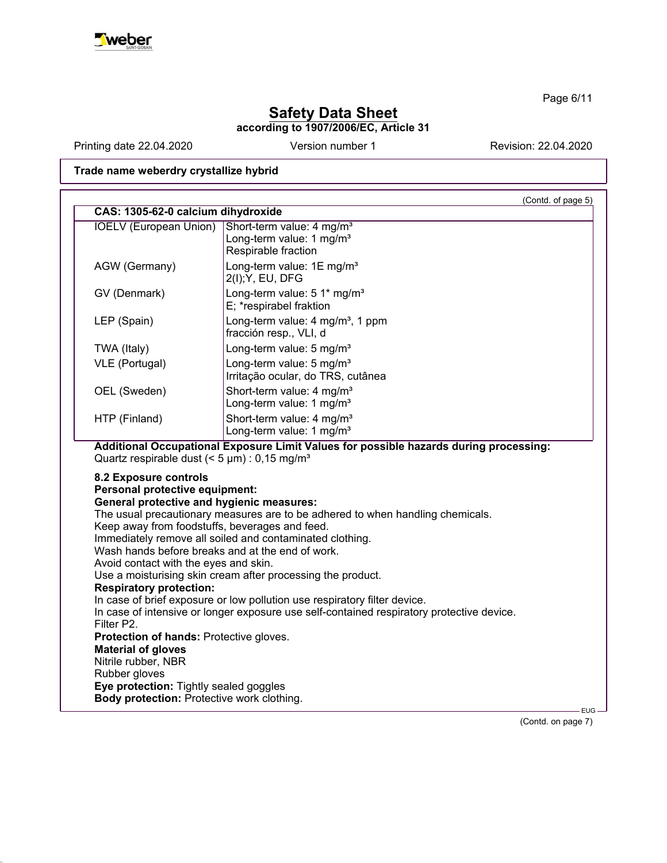

Page 6/11

# **Safety Data Sheet**

**according to 1907/2006/EC, Article 31**

Printing date 22.04.2020 **Revision: 22.04.2020** Version number 1

**Trade name weberdry crystallize hybrid**

|                                                                                                                                                                                                                                                                                                            | (Contd. of page 5)<br>CAS: 1305-62-0 calcium dihydroxide                                                                                                                                                                                                                                                                                                                            |  |
|------------------------------------------------------------------------------------------------------------------------------------------------------------------------------------------------------------------------------------------------------------------------------------------------------------|-------------------------------------------------------------------------------------------------------------------------------------------------------------------------------------------------------------------------------------------------------------------------------------------------------------------------------------------------------------------------------------|--|
| <b>IOELV (European Union)</b>                                                                                                                                                                                                                                                                              | Short-term value: 4 mg/m <sup>3</sup><br>Long-term value: 1 mg/m <sup>3</sup><br>Respirable fraction                                                                                                                                                                                                                                                                                |  |
| AGW (Germany)                                                                                                                                                                                                                                                                                              | Long-term value: 1E mg/m <sup>3</sup><br>2(I); Y, EU, DFG                                                                                                                                                                                                                                                                                                                           |  |
| GV (Denmark)                                                                                                                                                                                                                                                                                               | Long-term value: 5 1* mg/m <sup>3</sup><br>E; *respirabel fraktion                                                                                                                                                                                                                                                                                                                  |  |
| LEP (Spain)                                                                                                                                                                                                                                                                                                | Long-term value: 4 mg/m <sup>3</sup> , 1 ppm<br>fracción resp., VLI, d                                                                                                                                                                                                                                                                                                              |  |
| TWA (Italy)                                                                                                                                                                                                                                                                                                | Long-term value: 5 mg/m <sup>3</sup>                                                                                                                                                                                                                                                                                                                                                |  |
| VLE (Portugal)                                                                                                                                                                                                                                                                                             | Long-term value: 5 mg/m <sup>3</sup><br>Irritação ocular, do TRS, cutânea                                                                                                                                                                                                                                                                                                           |  |
| OEL (Sweden)                                                                                                                                                                                                                                                                                               | Short-term value: 4 mg/m <sup>3</sup><br>Long-term value: 1 mg/m <sup>3</sup>                                                                                                                                                                                                                                                                                                       |  |
| HTP (Finland)                                                                                                                                                                                                                                                                                              | Short-term value: 4 mg/m <sup>3</sup><br>Long-term value: 1 mg/m <sup>3</sup>                                                                                                                                                                                                                                                                                                       |  |
|                                                                                                                                                                                                                                                                                                            |                                                                                                                                                                                                                                                                                                                                                                                     |  |
| Quartz respirable dust $(< 5 \mu m)$ : 0,15 mg/m <sup>3</sup>                                                                                                                                                                                                                                              | Additional Occupational Exposure Limit Values for possible hazards during processing:                                                                                                                                                                                                                                                                                               |  |
| 8.2 Exposure controls<br>Personal protective equipment:<br><b>General protective and hygienic measures:</b><br>Keep away from foodstuffs, beverages and feed.<br>Wash hands before breaks and at the end of work.<br>Avoid contact with the eyes and skin.<br><b>Respiratory protection:</b><br>Filter P2. | The usual precautionary measures are to be adhered to when handling chemicals.<br>Immediately remove all soiled and contaminated clothing.<br>Use a moisturising skin cream after processing the product.<br>In case of brief exposure or low pollution use respiratory filter device.<br>In case of intensive or longer exposure use self-contained respiratory protective device. |  |
| Protection of hands: Protective gloves.<br><b>Material of gloves</b>                                                                                                                                                                                                                                       |                                                                                                                                                                                                                                                                                                                                                                                     |  |
| Nitrile rubber, NBR                                                                                                                                                                                                                                                                                        |                                                                                                                                                                                                                                                                                                                                                                                     |  |
| Rubber gloves<br>Eye protection: Tightly sealed goggles                                                                                                                                                                                                                                                    |                                                                                                                                                                                                                                                                                                                                                                                     |  |

(Contd. on page 7)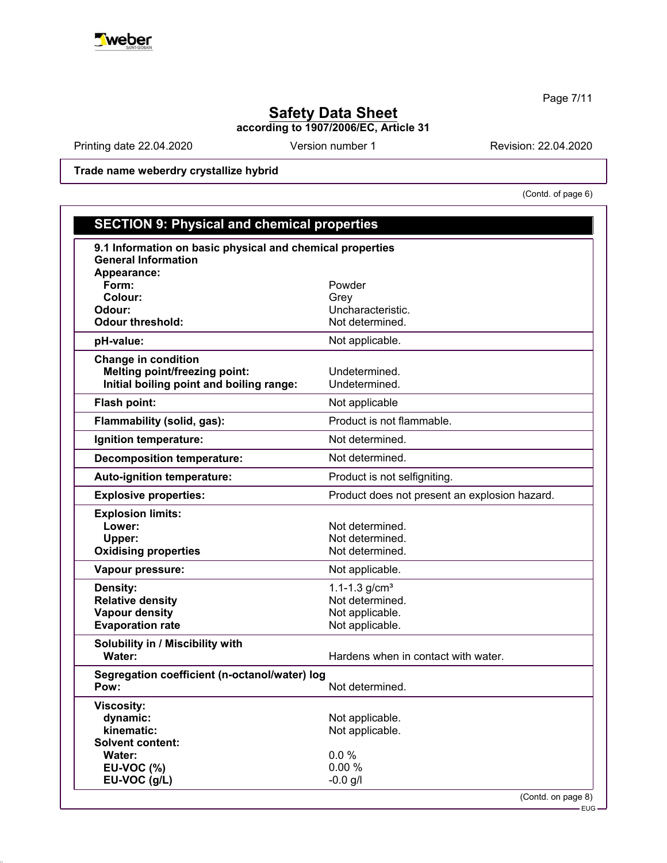

Page 7/11

# **Safety Data Sheet**

**according to 1907/2006/EC, Article 31**

Printing date 22.04.2020 Version number 1 Revision: 22.04.2020

**Trade name weberdry crystallize hybrid**

(Contd. of page 6)

EUG

| <b>SECTION 9: Physical and chemical properties</b>        |                                               |
|-----------------------------------------------------------|-----------------------------------------------|
| 9.1 Information on basic physical and chemical properties |                                               |
| <b>General Information</b>                                |                                               |
| Appearance:                                               |                                               |
| Form:<br>Colour:                                          | Powder                                        |
| Odour:                                                    | Grey<br>Uncharacteristic.                     |
| <b>Odour threshold:</b>                                   | Not determined.                               |
| pH-value:                                                 | Not applicable.                               |
| <b>Change in condition</b>                                |                                               |
| <b>Melting point/freezing point:</b>                      | Undetermined.                                 |
| Initial boiling point and boiling range:                  | Undetermined.                                 |
| Flash point:                                              | Not applicable                                |
| Flammability (solid, gas):                                | Product is not flammable.                     |
| Ignition temperature:                                     | Not determined.                               |
| <b>Decomposition temperature:</b>                         | Not determined.                               |
| Auto-ignition temperature:                                | Product is not selfigniting.                  |
| <b>Explosive properties:</b>                              | Product does not present an explosion hazard. |
| <b>Explosion limits:</b>                                  |                                               |
| Lower:                                                    | Not determined.                               |
| Upper:                                                    | Not determined.                               |
| <b>Oxidising properties</b>                               | Not determined.                               |
| Vapour pressure:                                          | Not applicable.                               |
| <b>Density:</b>                                           | 1.1-1.3 $g/cm3$                               |
| <b>Relative density</b>                                   | Not determined.                               |
| <b>Vapour density</b>                                     | Not applicable.                               |
| <b>Evaporation rate</b>                                   | Not applicable.                               |
| Solubility in / Miscibility with                          |                                               |
| Water:                                                    | Hardens when in contact with water.           |
| Segregation coefficient (n-octanol/water) log             |                                               |
| Pow:                                                      | Not determined.                               |
| <b>Viscosity:</b>                                         |                                               |
| dynamic:                                                  | Not applicable.                               |
| kinematic:                                                | Not applicable.                               |
| <b>Solvent content:</b>                                   |                                               |
| Water:                                                    | 0.0%                                          |
| <b>EU-VOC (%)</b><br>EU-VOC (g/L)                         | 0.00%<br>$-0.0$ g/l                           |
|                                                           | (Contd. on page 8)                            |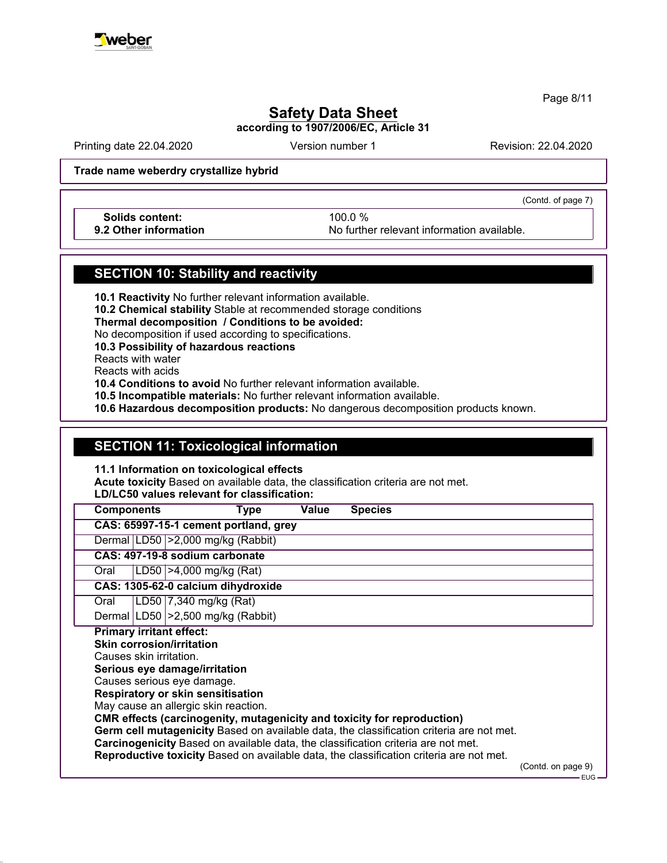

Page 8/11

# **Safety Data Sheet**

**according to 1907/2006/EC, Article 31**

Printing date 22.04.2020 **Revision: 22.04.2020** Version number 1 Revision: 22.04.2020

**Trade name weberdry crystallize hybrid**

(Contd. of page 7)

**Solids content:** 100.0 %

**9.2 Other information** No further relevant information available.

## **SECTION 10: Stability and reactivity**

**10.1 Reactivity** No further relevant information available.

**10.2 Chemical stability** Stable at recommended storage conditions

**Thermal decomposition / Conditions to be avoided:**

No decomposition if used according to specifications.

**10.3 Possibility of hazardous reactions**

Reacts with water

Reacts with acids

**10.4 Conditions to avoid** No further relevant information available.

**10.5 Incompatible materials:** No further relevant information available.

**10.6 Hazardous decomposition products:** No dangerous decomposition products known.

## **SECTION 11: Toxicological information**

**11.1 Information on toxicological effects**

**Acute toxicity** Based on available data, the classification criteria are not met.

**LD/LC50 values relevant for classification:**

| <b>Species</b><br><b>Components</b><br>Value<br>Type                                     |                             |
|------------------------------------------------------------------------------------------|-----------------------------|
| CAS: 65997-15-1 cement portland, grey                                                    |                             |
| Dermal LD50 > 2,000 mg/kg (Rabbit)                                                       |                             |
| CAS: 497-19-8 sodium carbonate                                                           |                             |
| LD50   > 4,000 mg/kg (Rat)<br>Oral                                                       |                             |
| CAS: 1305-62-0 calcium dihydroxide                                                       |                             |
| LD50 7,340 mg/kg (Rat)<br>Oral                                                           |                             |
| Dermal   LD50   > 2,500 mg/kg (Rabbit)                                                   |                             |
| <b>Primary irritant effect:</b>                                                          |                             |
| <b>Skin corrosion/irritation</b>                                                         |                             |
| Causes skin irritation.                                                                  |                             |
| Serious eye damage/irritation                                                            |                             |
| Causes serious eye damage.                                                               |                             |
| <b>Respiratory or skin sensitisation</b>                                                 |                             |
| May cause an allergic skin reaction.                                                     |                             |
| <b>CMR effects (carcinogenity, mutagenicity and toxicity for reproduction)</b>           |                             |
| Germ cell mutagenicity Based on available data, the classification criteria are not met. |                             |
| Carcinogenicity Based on available data, the classification criteria are not met.        |                             |
| Reproductive toxicity Based on available data, the classification criteria are not met.  |                             |
|                                                                                          | (Contd. on page 9)<br>EUG – |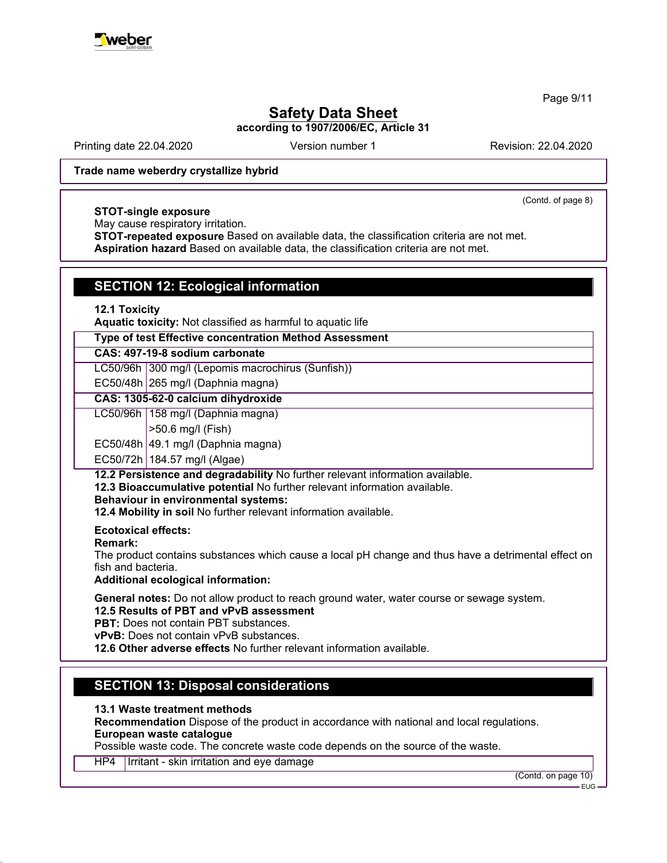

Page 9/11

# **Safety Data Sheet**

**according to 1907/2006/EC, Article 31**

Printing date 22.04.2020 **Revision: 22.04.2020** Version number 1 Revision: 22.04.2020

(Contd. of page 8)

**Trade name weberdry crystallize hybrid**

### **STOT-single exposure**

May cause respiratory irritation.

**STOT-repeated exposure** Based on available data, the classification criteria are not met. **Aspiration hazard** Based on available data, the classification criteria are not met.

## **SECTION 12: Ecological information**

### **12.1 Toxicity**

**Aquatic toxicity:** Not classified as harmful to aquatic life

### **Type of test Effective concentration Method Assessment**

## **CAS: 497-19-8 sodium carbonate**

LC50/96h 300 mg/l (Lepomis macrochirus (Sunfish))

EC50/48h  $|265 \text{ mg/l}$  (Daphnia magna)

## **CAS: 1305-62-0 calcium dihydroxide**

LC50/96h | 158 mg/l (Daphnia magna)

>50.6 mg/l (Fish)

 $EC50/48h$  49.1 mg/l (Daphnia magna)

### EC50/72h 184.57 mg/l (Algae)

**12.2 Persistence and degradability** No further relevant information available.

**12.3 Bioaccumulative potential** No further relevant information available.

### **Behaviour in environmental systems:**

**12.4 Mobility in soil** No further relevant information available.

### **Ecotoxical effects:**

#### **Remark:**

The product contains substances which cause a local pH change and thus have a detrimental effect on fish and bacteria.

## **Additional ecological information:**

**General notes:** Do not allow product to reach ground water, water course or sewage system. **12.5 Results of PBT and vPvB assessment**

**PBT:** Does not contain PBT substances.

**vPvB:** Does not contain vPvB substances.

**12.6 Other adverse effects** No further relevant information available.

## **SECTION 13: Disposal considerations**

**13.1 Waste treatment methods**

**Recommendation** Dispose of the product in accordance with national and local regulations. **European waste catalogue**

Possible waste code. The concrete waste code depends on the source of the waste.

HP4 | Irritant - skin irritation and eye damage

(Contd. on page 10)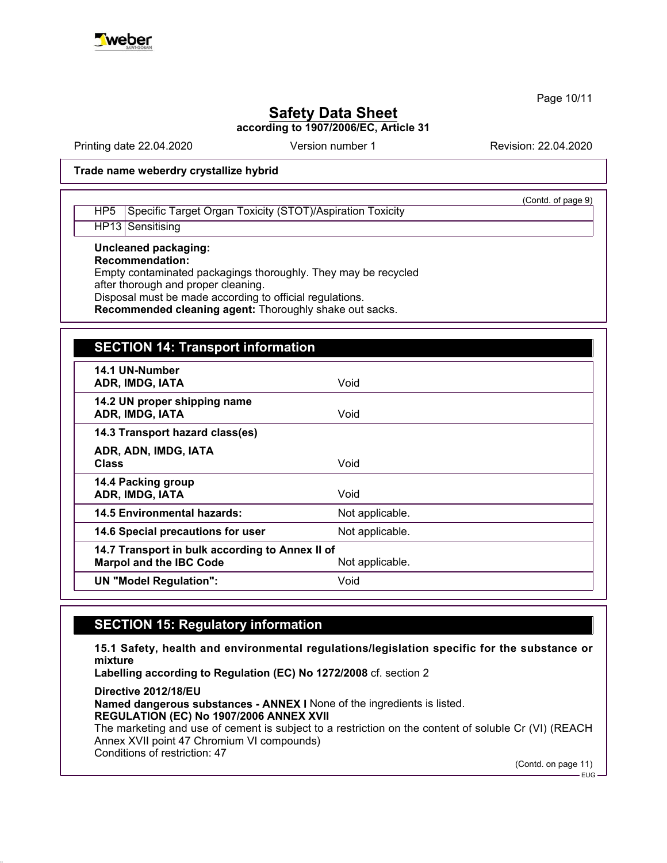

Page 10/11

# **Safety Data Sheet**

**according to 1907/2006/EC, Article 31**

Printing date 22.04.2020 **Revision: 22.04.2020** Version number 1 Revision: 22.04.2020

(Contd. of page 9)

## **Trade name weberdry crystallize hybrid**

## HP5 Specific Target Organ Toxicity (STOT)/Aspiration Toxicity

HP13 Sensitising

## **Uncleaned packaging:**

**Recommendation:**

Empty contaminated packagings thoroughly. They may be recycled after thorough and proper cleaning.

Disposal must be made according to official regulations.

**Recommended cleaning agent:** Thoroughly shake out sacks.

## **SECTION 14: Transport information**

| 14.1 UN-Number<br>ADR, IMDG, IATA                                                 | Void            |
|-----------------------------------------------------------------------------------|-----------------|
| 14.2 UN proper shipping name<br>ADR, IMDG, IATA                                   | Void            |
| 14.3 Transport hazard class(es)                                                   |                 |
| ADR, ADN, IMDG, IATA<br><b>Class</b>                                              | Void            |
| 14.4 Packing group<br><b>ADR, IMDG, IATA</b>                                      | Void            |
| 14.5 Environmental hazards:                                                       | Not applicable. |
| 14.6 Special precautions for user                                                 | Not applicable. |
| 14.7 Transport in bulk according to Annex II of<br><b>Marpol and the IBC Code</b> | Not applicable. |
| <b>UN "Model Regulation":</b>                                                     | Void            |

## **SECTION 15: Regulatory information**

**15.1 Safety, health and environmental regulations/legislation specific for the substance or mixture**

**Labelling according to Regulation (EC) No 1272/2008** cf. section 2

**Directive 2012/18/EU Named dangerous substances - ANNEX I** None of the ingredients is listed. **REGULATION (EC) No 1907/2006 ANNEX XVII** The marketing and use of cement is subject to a restriction on the content of soluble Cr (VI) (REACH Annex XVII point 47 Chromium VI compounds) Conditions of restriction: 47

(Contd. on page 11)

EUG